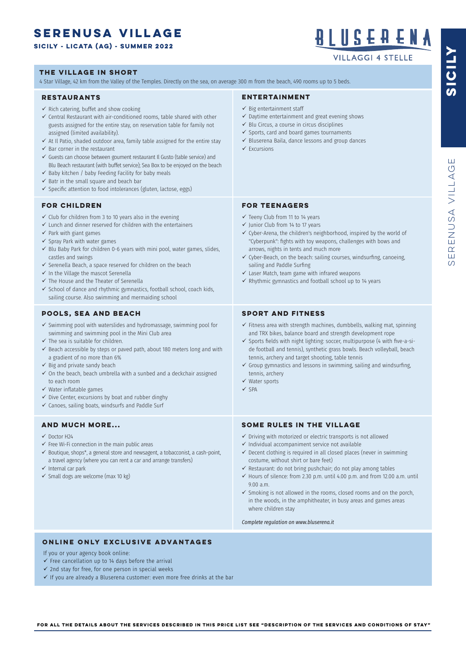### **serenusa VILLAGE**

#### **SICILY - licata (ag) - SUMMER 2022**

4 Star Village, 42 km from the Valley of the Temples. Directly on the sea, on average 300 m from the beach, 490 rooms up to 5 beds. **THE VILLAGE IN SHORT**

#### **RESTAURANTS**

- $\checkmark$  Rich catering, buffet and show cooking
- $\checkmark$  Central Restaurant with air-conditioned rooms, table shared with other guests assigned for the entire stay, on reservation table for family not assigned (limited availability).
- $\checkmark$  At Il Patio, shaded outdoor area, family table assigned for the entire stay
- $\checkmark$  Bar corner in the restaurant
- $\checkmark$  Guests can choose between goument restaurant Il Gusto (table service) and Blu Beach restaurant (with buffet service); Sea Box to be enjoyed on the beach
- $\checkmark$  Baby kitchen / baby Feeding Facility for baby meals
- $\checkmark$  Batr in the small square and beach bar
- $\checkmark$  Specific attention to food intolerances (gluten, lactose, eggs)

#### **FOR CHILDREN**

- $\checkmark$  Club for children from 3 to 10 years also in the evening
- $\checkmark$  Lunch and dinner reserved for children with the entertainers
- $\checkmark$  Park with giant games
- $\checkmark$  Spray Park with water games
- $\checkmark$  Blu Baby Park for children 0-6 years with mini pool, water games, slides, castles and swings
- $\checkmark$  Serenella Beach, a space reserved for children on the beach
- $\checkmark$  In the Village the mascot Serenella
- $\checkmark$  The House and the Theater of Serenella
- $\checkmark$  School of dance and rhythmic gymnastics, football school, coach kids, sailing course. Also swimming and mermaiding school

#### **POOLS, SEA AND BEACH**

- $\checkmark$  Swimming pool with waterslides and hydromassage, swimming pool for swimming and swimming pool in the Mini Club area
- $\checkmark$  The sea is suitable for children.
- $\checkmark$  Beach accessible by steps or paved path, about 180 meters long and with a gradient of no more than 6%
- $\checkmark$  Big and private sandy beach
- $\checkmark$  On the beach, beach umbrella with a sunbed and a deckchair assigned to each room
- $\checkmark$  Water inflatable games
- $\checkmark$  Dive Center, excursions by boat and rubber dinghy
- $\checkmark$  Canoes, sailing boats, windsurfs and Paddle Surf

#### **AND MUCH MORE...**

- $\checkmark$  Doctor H<sub>24</sub>
- $\checkmark$  Free Wi-Fi connection in the main public areas
- $\checkmark$  Boutique, shops\*, a general store and newsagent, a tobacconist, a cash-point, a travel agency (where you can rent a car and arrange transfers)
- $\checkmark$  Internal car park
- $\checkmark$  Small dogs are welcome (max 10 kg)

#### **ENTERTAINMENT**

- $\checkmark$  Big entertainment staff
- $\checkmark$  Daytime entertainment and great evening shows
- $\checkmark$  Blu Circus, a course in circus disciplines
- $\checkmark$  Sports, card and board games tournaments
- $\checkmark$  Bluserena Baila, dance lessons and group dances
- $\checkmark$  Excursions

#### **FOR TEENAGERS**

- $\checkmark$  Teeny Club from 11 to 14 years
- $\checkmark$  Junior Club from 14 to 17 years
- $\checkmark$  Cyber-Arena, the children's neighborhood, inspired by the world of "Cyberpunk": fghts with toy weapons, challenges with bows and arrows, nights in tents and much more
- $\checkmark$  Cyber-Beach, on the beach: sailing courses, windsurfing, canoeing, sailing and Paddle Surfing
- $\checkmark$  Laser Match, team game with infrared weapons
- $\checkmark$  Rhythmic gymnastics and football school up to 14 years

#### **SPORT AND FITNESS**

- $\checkmark$  Fitness area with strength machines, dumbbells, walking mat, spinning and TRX bikes, balance board and strength development rope
- $\checkmark$  Sports fields with night lighting: soccer, multipurpose (4 with five-a-side football and tennis), synthetic grass bowls. Beach volleyball, beach tennis, archery and target shooting, table tennis
- $\checkmark$  Group gymnastics and lessons in swimming, sailing and windsurfing, tennis, archery
- $\checkmark$  Water sports
- $\checkmark$  SPA

#### **SOME RULES IN THE VILLAGE**

- $\checkmark$  Driving with motorized or electric transports is not allowed
- $\checkmark$  Individual accompaniment service not available
- $\checkmark$  Decent clothing is required in all closed places (never in swimming costume, without shirt or bare feet)
- $\checkmark$  Restaurant: do not bring pushchair; do not play among tables
- $\checkmark$  Hours of silence: from 2.30 p.m. until 4.00 p.m. and from 12.00 a.m. until 9.00 a.m.
- $\checkmark$  Smoking is not allowed in the rooms, closed rooms and on the porch, in the woods, in the amphitheater, in busy areas and games areas where children stay

*Complete regulation on www.bluserena.it*

#### **ONLINE ONLY EXCLUSIVE ADVANTAGES**

If you or your agency book online:

- $\checkmark$  Free cancellation up to 14 days before the arrival
- $\checkmark$  2nd stay for free, for one person in special weeks

 $\checkmark$  If you are already a Bluserena customer: even more free drinks at the bar

**SICILY**

## B L II S E A E N A

**VILLAGGI 4 STELLE**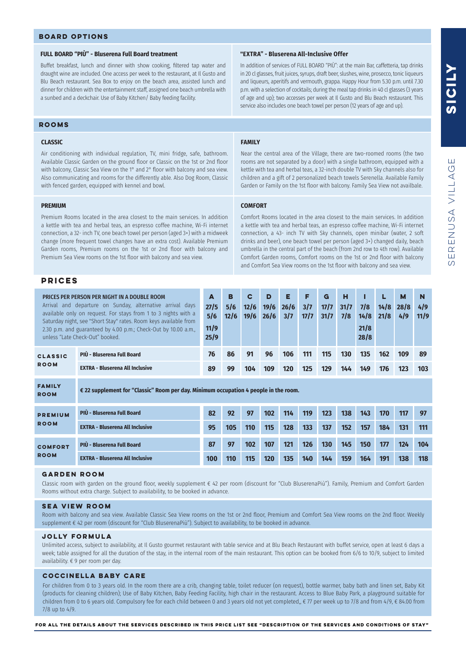#### **FULL BOARD "PIÙ" - Bluserena Full Board treatment**

Buffet breakfast, lunch and dinner with show cooking, fltered tap water and draught wine are included. One access per week to the restaurant, at Il Gusto and Blu Beach restaurant. Sea Box to enjoy on the beach area, assisted lunch and dinner for children with the entertainment staff, assigned one beach umbrella with a sunbed and a deckchair. Use of Baby Kitchen/ Baby feeding facility.

#### **ROOMS**

#### **CLASSIC**

Air conditioning with individual regulation, TV, mini fridge, safe, bathroom. Available Classic Garden on the ground floor or Classic on the 1st or 2nd floor with balcony, Classic Sea View on the 1° and 2° floor with balcony and sea view. Also communicating and rooms for the differently able. Also Dog Room, Classic with fenced garden, equipped with kennel and bowl.

#### **PREMIUM**

Premium Rooms located in the area closest to the main services. In addition a kettle with tea and herbal teas, an espresso coffee machine, Wi-Fi internet connection, a 32- inch TV, one beach towel per person (aged 3+) with a midweek change (more frequent towel changes have an extra cost). Available Premium Garden rooms, Premium rooms on the 1st or 2nd floor with balcony and Premium Sea View rooms on the 1st floor with balcony and sea view.

#### **PRICES**

**ROOM**

|                               | PRICES PER PERSON PER NIGHT IN A DOUBLE ROOM<br>Arrival and departure on Sunday, alternative arrival days<br>27/5<br>available only on request. For stays from 1 to 3 nights with a<br>Saturday night, see "Short Stay" rates. Room keys available from<br>11/9<br>2.30 p.m. and guaranteed by 4.00 p.m.; Check-Out by 10.00 a.m.,<br>25/9<br>unless "Late Check-Out" booked.<br>PIÙ - Bluserena Full Board<br><b>EXTRA - Bluserena All Inclusive</b> |    | в<br>5/6<br>12/6 | C<br>12/6<br>19/6 | D<br>19/6<br>26/6 | Е<br>26/6<br>3/7 | F<br>3/7<br>17/7 | G<br>17/7<br>31/7 | н<br>31/7<br>7/8 | 7/8<br>14/8<br>21/8<br>28/8 | 14/8<br>21/8 | M<br>28/8<br>4/9 | N<br>4/9<br>11/9 |
|-------------------------------|-------------------------------------------------------------------------------------------------------------------------------------------------------------------------------------------------------------------------------------------------------------------------------------------------------------------------------------------------------------------------------------------------------------------------------------------------------|----|------------------|-------------------|-------------------|------------------|------------------|-------------------|------------------|-----------------------------|--------------|------------------|------------------|
| <b>CLASSIC</b><br><b>ROOM</b> |                                                                                                                                                                                                                                                                                                                                                                                                                                                       | 76 | 86               | 91                | 96                | 106              | 111              | 115               | 130              | 135                         | 162          | 109              | 89               |
|                               |                                                                                                                                                                                                                                                                                                                                                                                                                                                       | 89 | 99               | 104               | 109               | 120              | 125              | 129               | 144              | 149                         | 176          | 123              | 103              |
| <b>FAMILY</b>                 |                                                                                                                                                                                                                                                                                                                                                                                                                                                       |    |                  |                   |                   |                  |                  |                   |                  |                             |              |                  |                  |

#### **PIÙ - Bluserena Full Board PIÙ - Bluserena Full Board EXTRA - Bluserena All Inclusive EXTRA - Bluserena All Inclusive 92 97 82 87 97 102 102 107 114 121 117 124 131 138 123 130 170 177 184 191 119 126 97 104 111 118 143 150 138 145 105 110 95 100 110 115 115 120 128 135 137 144 133 140 157 164 152 159 premium ROOM comfort ROOM**

**€ 22 supplement for "Classic" Room per day. Minimum occupation 4 people in the room.**

#### **GARDEN ROOM**

Classic room with garden on the ground floor, weekly supplement € 42 per room (discount for "Club BluserenaPiù"). Family, Premium and Comfort Garden Rooms without extra charge. Subject to availability, to be booked in advance.

#### **SEA VIEW ROOM**

Room with balcony and sea view. Available Classic Sea View rooms on the 1st or 2nd floor, Premium and Comfort Sea View rooms on the 2nd floor. Weekly supplement € 42 per room (discount for "Club BluserenaPiù"). Subject to availability, to be booked in advance.

#### **JOLLY FORMULA**

Unlimited access, subject to availability, at Il Gusto gourmet restaurant with table service and at Blu Beach Restaurant with buffet service, open at least 6 days a week; table assigned for all the duration of the stay, in the internal room of the main restaurant. This option can be booked from 6/6 to 10/9, subject to limited availability. € 9 per room per day.

#### **coccinella baby care**

For children from 0 to 3 years old. In the room there are a crib, changing table, toilet reducer (on request), bottle warmer, baby bath and linen set, Baby Kit (products for cleaning children); Use of Baby Kitchen, Baby Feeding Facility, high chair in the restaurant. Access to Blue Baby Park, a playground suitable for children from 0 to 6 years old. Compulsory fee for each child between 0 and 3 years old not yet completed,, € 77 per week up to 7/8 and from 4/9, € 84.00 from 7/8 up to 4/9.

#### **"EXTRA" - Bluserena All-Inclusive Offer**

In addition of services of FULL BOARD "PIÙ": at the main Bar, caffetteria, tap drinks in 20 cl glasses, fruit juices, syrups, draft beer, slushes, wine, prosecco, tonic liqueurs and liqueurs, aperitifs and vermouth, grappa. Happy Hour from 5.30 p.m. until 7.30 p.m. with a selection of cocktails; during the meal tap drinks in 40 cl glasses (3 years of age and up); two accesses per week at Il Gusto and Blu Beach restaurant. This service also includes one beach towel per person (12 years of age and up).

#### **FAMILY**

Near the central area of the Village, there are two-roomed rooms (the two rooms are not separated by a door) with a single bathroom, equipped with a kettle with tea and herbal teas, a 32-inch double TV with Sky channels also for children and a gift of 2 personalized beach towels Serenella. Available Family Garden or Family on the 1st floor with balcony. Family Sea View not availbale.

#### **COMFORT**

Comfort Rooms located in the area closest to the main services. In addition a kettle with tea and herbal teas, an espresso coffee machine, Wi-Fi internet connection, a 43- inch TV with Sky channels, open minibar (water, 2 soft drinks and beer), one beach towel per person (aged 3+) changed daily, beach umbrella in the central part of the beach (from 2nd row to 4th row). Available Comfort Garden rooms, Comfort rooms on the 1st or 2nd floor with balcony and Comfort Sea View rooms on the 1st floor with balcony and sea view.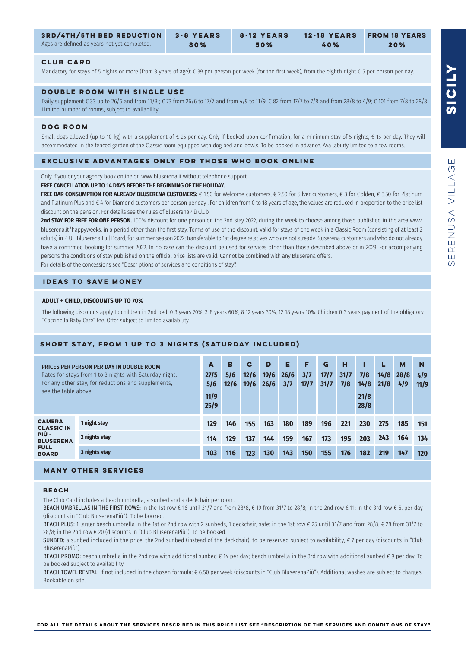| <b>3RD/4TH/5TH BED REDUCTION</b>             | 3-8 YEARS | 8-12 YEARS | <b>12-18 YEARS</b> | <b>FROM 18 YEARS</b> |
|----------------------------------------------|-----------|------------|--------------------|----------------------|
| Ages are defined as years not yet completed. | 80%       | 50%        | 40%                | 20%                  |

#### **CLUB CARD**

Ages

Mandatory for stays of 5 nights or more (from 3 years of age): € 39 per person per week (for the first week), from the eighth night € 5 per person per day.

#### **DOUBLE ROOM WITH SINGLE USE**

Daily supplement € 33 up to 26/6 and from 11/9 ; € 73 from 26/6 to 17/7 and from 4/9 to 11/9; € 82 from 17/7 to 7/8 and from 28/8 to 4/9; € 101 from 7/8 to 28/8. Limited number of rooms, subject to availability.

#### **dog room**

Small dogs allowed (up to 10 kg) with a supplement of  $\epsilon$  25 per day. Only if booked upon confirmation, for a minimum stay of 5 nights,  $\epsilon$  15 per day. They will accommodated in the fenced garden of the Classic room equipped with dog bed and bowls. To be booked in advance. Availability limited to a few rooms.

#### **EXCLUSIVE ADVANTAGES ONLY FOR THOSE WHO BOOK ONLINE**

Only if you or your agency book online on www.bluserena.it without telephone support:

#### **FREE CANCELLATION UP TO 14 DAYS BEFORE THE BEGINNING OF THE HOLIDAY.**

**FREE BAR CONSUMPTION FOR ALREADY BLUSERENA CUSTOMERS:** € 1.50 for Welcome customers, € 2.50 for Silver customers, € 3 for Golden, € 3.50 for Platinum and Platinum Plus and € 4 for Diamond customers per person per day . For children from 0 to 18 years of age, the values are reduced in proportion to the price list discount on the pension. For details see the rules of BluserenaPiù Club.

**2nd STAY FOR FREE FOR ONE PERSON.** 100% discount for one person on the 2nd stay 2022, during the week to choose among those published in the area www. bluserena.it/happyweeks, in a period other than the first stay. Terms of use of the discount: valid for stays of one week in a Classic Room (consisting of at least 2 adults) in PIÙ - Bluserena Full Board, for summer season 2022; transferable to 1st degree relatives who are not already Bluserena customers and who do not already have a confirmed booking for summer 2022. In no case can the discount be used for services other than those described above or in 2023. For accompanying persons the conditions of stay published on the offcial price lists are valid. Cannot be combined with any Bluserena offers. For details of the concessions see "Descriptions of services and conditions of stay".

#### **IDEAS TO SAVE MONEY**

#### **ADULT + CHILD, DISCOUNTS UP TO 70%**

The following discounts apply to children in 2nd bed. 0-3 years 70%; 3-8 years 60%, 8-12 years 30%, 12-18 years 10%. Children 0-3 years payment of the obligatory "Coccinella Baby Care" fee. Offer subject to limited availability.

#### **SHORT STAY, FROM 1 UP TO 3 NIGHTS (SATURDAY INCLUDED)**

| PRICES PER PERSON PER DAY IN DOUBLE ROOM<br>Rates for stays from 1 to 3 nights with Saturday night.<br>For any other stay, for reductions and supplements.<br>see the table above. |               | A<br>27/5<br>5/6<br>11/9<br>25/9 | в<br>5/6<br>12/6 | C<br>12/6<br>19/6 | D<br>19/6<br>26/6 | Е<br>26/6<br>3/7 | F<br>3/7<br>17/7 | G<br>17/7<br>31/7 | н<br>31/7<br>7/8 | 7/8<br>14/8<br>21/8<br>28/8 | 14/8<br>21/8 | M<br>28/8<br>4/9 | N<br>4/9<br>11/9 |
|------------------------------------------------------------------------------------------------------------------------------------------------------------------------------------|---------------|----------------------------------|------------------|-------------------|-------------------|------------------|------------------|-------------------|------------------|-----------------------------|--------------|------------------|------------------|
| <b>CAMERA</b><br><b>CLASSIC IN</b><br>PIÙ -<br><b>BLUSERENA</b><br><b>FULL</b><br><b>BOARD</b>                                                                                     | 1 night stay  | 129                              | 146              | 155               | 163               | 180              | 189              | 196               | 221              | 230                         | 275          | 185              | 151              |
|                                                                                                                                                                                    | 2 nights stay | 114                              | 129              | 137               | 144               | 159              | 167              | 173               | 195              | 203                         | 243          | 164              | 134              |
|                                                                                                                                                                                    | 3 nights stay | 103                              | 116              | 123               | 130               | 143              | 150              | 155               | 176              | 182                         | 219          | 147              | 120              |

#### **MANY OTHER SERVICES**

#### **BEACH**

The Club Card includes a beach umbrella, a sunbed and a deckchair per room.

BEACH UMBRELLAS IN THE FIRST ROWS: in the 1st row € 16 until 31/7 and from 28/8, € 19 from 31/7 to 28/8; in the 2nd row € 11; in the 3rd row € 6, per day (discounts in "Club BluserenaPiù"). To be booked.

BEACH PLUS: 1 larger beach umbrella in the 1st or 2nd row with 2 sunbeds, 1 deckchair, safe: in the 1st row € 25 until 31/7 and from 28/8, € 28 from 31/7 to 28/8; in the 2nd row € 20 (discounts in "Club BluserenaPiù"). To be booked.

SUNBED: a sunbed included in the price; the 2nd sunbed (instead of the deckchair), to be reserved subject to availability,  $\epsilon$  7 per day (discounts in "Club BluserenaPiù").

BEACH PROMO: beach umbrella in the 2nd row with additional sunbed € 14 per day; beach umbrella in the 3rd row with additional sunbed € 9 per day. To be booked subject to availability.

BEACH TOWEL RENTAL: if not included in the chosen formula: € 6.50 per week (discounts in "Club BluserenaPiù"). Additional washes are subject to charges. Bookable on site.